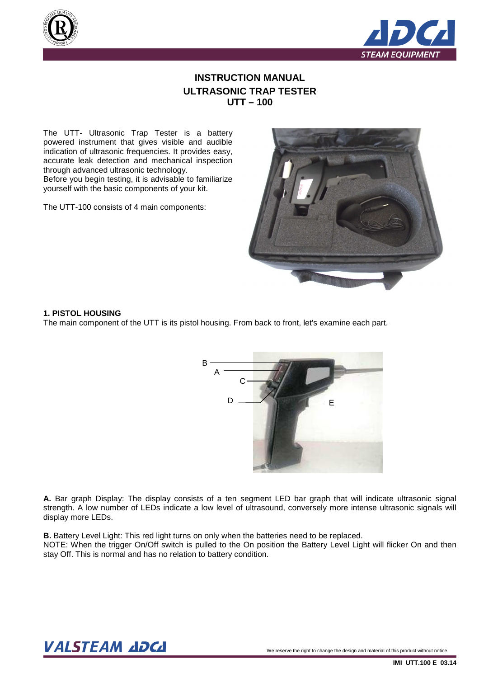



# **INSTRUCTION MANUAL ULTRASONIC TRAP TESTER UTT – 100**

The UTT- Ultrasonic Trap Tester is a battery powered instrument that gives visible and audible indication of ultrasonic frequencies. It provides easy, accurate leak detection and mechanical inspection through advanced ultrasonic technology. Before you begin testing, it is advisable to familiarize yourself with the basic components of your kit.

The UTT-100 consists of 4 main components:



#### **1. PISTOL HOUSING**

The main component of the UTT is its pistol housing. From back to front, let's examine each part.



**A.** Bar graph Display: The display consists of a ten segment LED bar graph that will indicate ultrasonic signal strength. A low number of LEDs indicate a low level of ultrasound, conversely more intense ultrasonic signals will display more LEDs.

**B.** Battery Level Light: This red light turns on only when the batteries need to be replaced. NOTE: When the trigger On/Off switch is pulled to the On position the Battery Level Light will flicker On and then stay Off. This is normal and has no relation to battery condition.

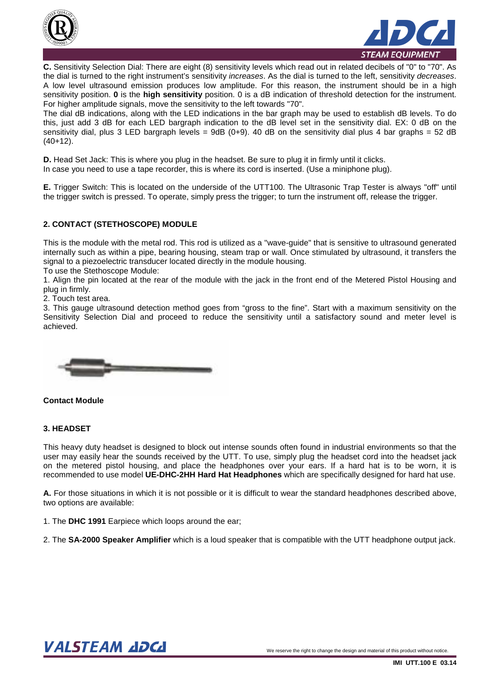



**C.** Sensitivity Selection Dial: There are eight (8) sensitivity levels which read out in related decibels of "0" to "70". As the dial is turned to the right instrument's sensitivity *increases*. As the dial is turned to the left, sensitivity *decreases*. A low level ultrasound emission produces low amplitude. For this reason, the instrument should be in a high sensitivity position. **0** is the **high sensitivity** position. 0 is a dB indication of threshold detection for the instrument. For higher amplitude signals, move the sensitivity to the left towards "70".

The dial dB indications, along with the LED indications in the bar graph may be used to establish dB levels. To do this, just add 3 dB for each LED bargraph indication to the dB level set in the sensitivity dial. EX: 0 dB on the sensitivity dial, plus 3 LED bargraph levels = 9dB (0+9). 40 dB on the sensitivity dial plus 4 bar graphs = 52 dB (40+12).

**D.** Head Set Jack: This is where you plug in the headset. Be sure to plug it in firmly until it clicks. In case you need to use a tape recorder, this is where its cord is inserted. (Use a miniphone plug).

**E.** Trigger Switch: This is located on the underside of the UTT100. The Ultrasonic Trap Tester is always "off" until the trigger switch is pressed. To operate, simply press the trigger; to turn the instrument off, release the trigger.

# **2. CONTACT (STETHOSCOPE) MODULE**

This is the module with the metal rod. This rod is utilized as a "wave-guide" that is sensitive to ultrasound generated internally such as within a pipe, bearing housing, steam trap or wall. Once stimulated by ultrasound, it transfers the signal to a piezoelectric transducer located directly in the module housing.

To use the Stethoscope Module:

1. Align the pin located at the rear of the module with the jack in the front end of the Metered Pistol Housing and plug in firmly.

2. Touch test area.

3. This gauge ultrasound detection method goes from "gross to the fine". Start with a maximum sensitivity on the Sensitivity Selection Dial and proceed to reduce the sensitivity until a satisfactory sound and meter level is achieved.



### **Contact Module**

### **3. HEADSET**

This heavy duty headset is designed to block out intense sounds often found in industrial environments so that the user may easily hear the sounds received by the UTT. To use, simply plug the headset cord into the headset jack on the metered pistol housing, and place the headphones over your ears. If a hard hat is to be worn, it is recommended to use model **UE-DHC-2HH Hard Hat Headphones** which are specifically designed for hard hat use.

**A.** For those situations in which it is not possible or it is difficult to wear the standard headphones described above, two options are available:

1. The **DHC 1991** Earpiece which loops around the ear;

2. The **SA-2000 Speaker Amplifier** which is a loud speaker that is compatible with the UTT headphone output jack.

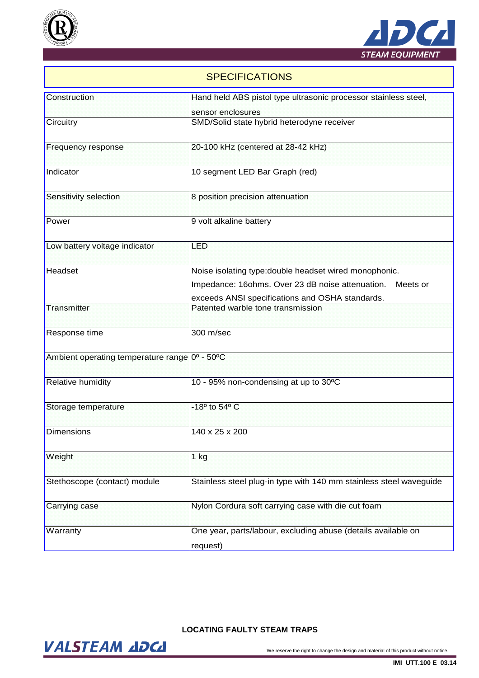



# **SPECIFICATIONS**

| Construction                        | Hand held ABS pistol type ultrasonic processor stainless steel,                      |
|-------------------------------------|--------------------------------------------------------------------------------------|
|                                     | sensor enclosures                                                                    |
| Circuitry                           | SMD/Solid state hybrid heterodyne receiver                                           |
| <b>Frequency response</b>           | 20-100 kHz (centered at 28-42 kHz)                                                   |
| Indicator                           | 10 segment LED Bar Graph (red)                                                       |
| Sensitivity selection               | 8 position precision attenuation                                                     |
| Power                               | 9 volt alkaline battery                                                              |
| Low battery voltage indicator       | <b>LED</b>                                                                           |
| Headset                             | Noise isolating type: double headset wired monophonic.                               |
|                                     | Impedance: 16ohms. Over 23 dB noise attenuation.<br>Meets or                         |
| Transmitter                         | exceeds ANSI specifications and OSHA standards.<br>Patented warble tone transmission |
| Response time                       | 300 m/sec                                                                            |
| Ambient operating temperature range | $0^{\circ}$ - $50^{\circ}$ C                                                         |
| <b>Relative humidity</b>            | 10 - 95% non-condensing at up to 30°C                                                |
| Storage temperature                 | -18° to 54° C                                                                        |
| Dimensions                          | 140 x 25 x 200                                                                       |
| Weight                              | 1 kg                                                                                 |
| Stethoscope (contact) module        | Stainless steel plug-in type with 140 mm stainless steel waveguide                   |
| Carrying case                       | Nylon Cordura soft carrying case with die cut foam                                   |
| Warranty                            | One year, parts/labour, excluding abuse (details available on<br>request)            |

# **LOCATING FAULTY STEAM TRAPS**

VALSTEAM ADCA We reserve the right to change the design and material of this product without notice.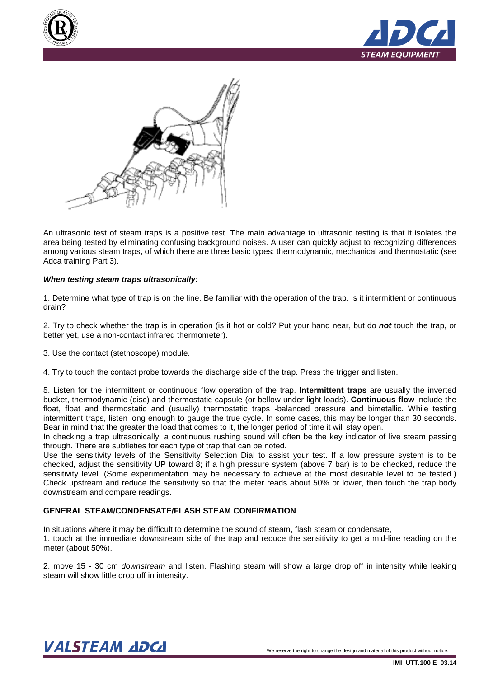





An ultrasonic test of steam traps is a positive test. The main advantage to ultrasonic testing is that it isolates the area being tested by eliminating confusing background noises. A user can quickly adjust to recognizing differences among various steam traps, of which there are three basic types: thermodynamic, mechanical and thermostatic (see Adca training Part 3).

### **When testing steam traps ultrasonically:**

1. Determine what type of trap is on the line. Be familiar with the operation of the trap. Is it intermittent or continuous drain?

2. Try to check whether the trap is in operation (is it hot or cold? Put your hand near, but do **not** touch the trap, or better yet, use a non-contact infrared thermometer).

3. Use the contact (stethoscope) module.

4. Try to touch the contact probe towards the discharge side of the trap. Press the trigger and listen.

5. Listen for the intermittent or continuous flow operation of the trap. **Intermittent traps** are usually the inverted bucket, thermodynamic (disc) and thermostatic capsule (or bellow under light loads). **Continuous flow** include the float, float and thermostatic and (usually) thermostatic traps -balanced pressure and bimetallic. While testing intermittent traps, listen long enough to gauge the true cycle. In some cases, this may be longer than 30 seconds. Bear in mind that the greater the load that comes to it, the longer period of time it will stay open.

In checking a trap ultrasonically, a continuous rushing sound will often be the key indicator of live steam passing through. There are subtleties for each type of trap that can be noted.

Use the sensitivity levels of the Sensitivity Selection Dial to assist your test. If a low pressure system is to be checked, adjust the sensitivity UP toward 8; if a high pressure system (above 7 bar) is to be checked, reduce the sensitivity level. (Some experimentation may be necessary to achieve at the most desirable level to be tested.) Check upstream and reduce the sensitivity so that the meter reads about 50% or lower, then touch the trap body downstream and compare readings.

### **GENERAL STEAM/CONDENSATE/FLASH STEAM CONFIRMATION**

In situations where it may be difficult to determine the sound of steam, flash steam or condensate,

1. touch at the immediate downstream side of the trap and reduce the sensitivity to get a mid-line reading on the meter (about 50%).

2. move 15 - 30 cm downstream and listen. Flashing steam will show a large drop off in intensity while leaking steam will show little drop off in intensity.

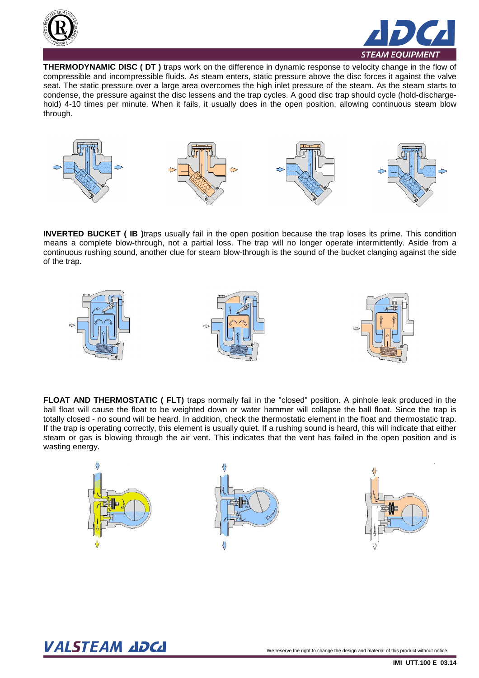



**THERMODYNAMIC DISC ( DT )** traps work on the difference in dynamic response to velocity change in the flow of compressible and incompressible fluids. As steam enters, static pressure above the disc forces it against the valve seat. The static pressure over a large area overcomes the high inlet pressure of the steam. As the steam starts to condense, the pressure against the disc lessens and the trap cycles. A good disc trap should cycle (hold-dischargehold) 4-10 times per minute. When it fails, it usually does in the open position, allowing continuous steam blow through.



**INVERTED BUCKET ( IB )**traps usually fail in the open position because the trap loses its prime. This condition means a complete blow-through, not a partial loss. The trap will no longer operate intermittently. Aside from a continuous rushing sound, another clue for steam blow-through is the sound of the bucket clanging against the side of the trap.



**FLOAT AND THERMOSTATIC ( FLT)** traps normally fail in the "closed" position. A pinhole leak produced in the ball float will cause the float to be weighted down or water hammer will collapse the ball float. Since the trap is totally closed - no sound will be heard. In addition, check the thermostatic element in the float and thermostatic trap. If the trap is operating correctly, this element is usually quiet. If a rushing sound is heard, this will indicate that either steam or gas is blowing through the air vent. This indicates that the vent has failed in the open position and is wasting energy.



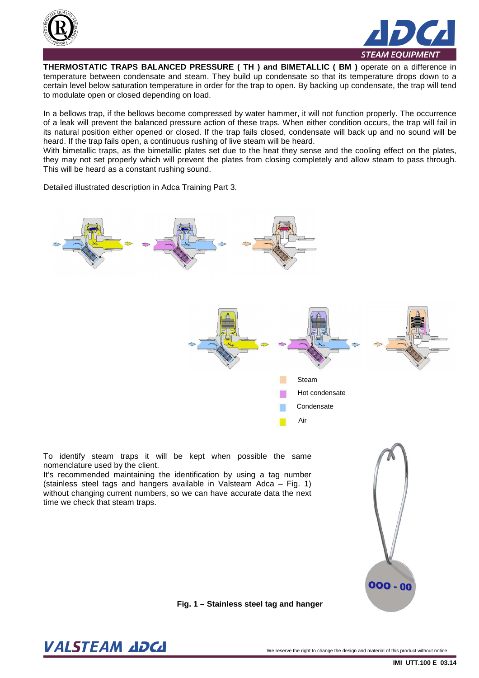



**THERMOSTATIC TRAPS BALANCED PRESSURE ( TH ) and BIMETALLIC ( BM )** operate on a difference in temperature between condensate and steam. They build up condensate so that its temperature drops down to a certain level below saturation temperature in order for the trap to open. By backing up condensate, the trap will tend to modulate open or closed depending on load.

In a bellows trap, if the bellows become compressed by water hammer, it will not function properly. The occurrence of a leak will prevent the balanced pressure action of these traps. When either condition occurs, the trap will fail in its natural position either opened or closed. If the trap fails closed, condensate will back up and no sound will be heard. If the trap fails open, a continuous rushing of live steam will be heard.

With bimetallic traps, as the bimetallic plates set due to the heat they sense and the cooling effect on the plates, they may not set properly which will prevent the plates from closing completely and allow steam to pass through. This will be heard as a constant rushing sound.

Detailed illustrated description in Adca Training Part 3.



To identify steam traps it will be kept when possible the same nomenclature used by the client.

It's recommended maintaining the identification by using a tag number (stainless steel tags and hangers available in Valsteam Adca – Fig. 1) without changing current numbers, so we can have accurate data the next time we check that steam traps.



**Fig. 1 – Stainless steel tag and hanger** 

 $\bm{VALSTEAM}$  and  $\bm{DCL}$  we reserve the right to change the design and material of this product without notice.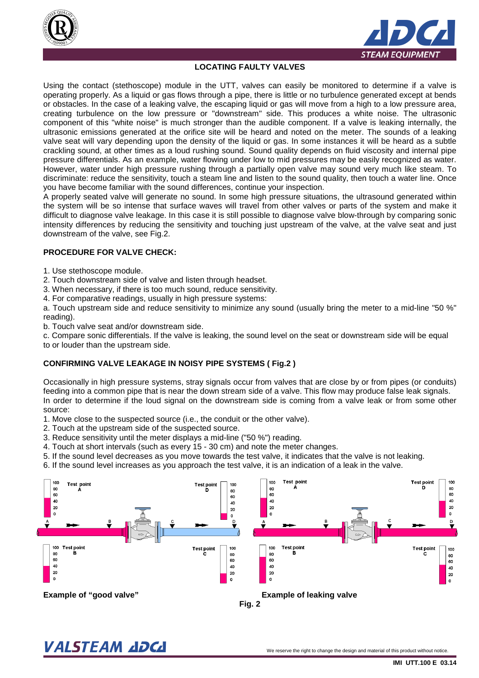



# **LOCATING FAULTY VALVES**

Using the contact (stethoscope) module in the UTT, valves can easily be monitored to determine if a valve is operating properly. As a liquid or gas flows through a pipe, there is little or no turbulence generated except at bends or obstacles. In the case of a leaking valve, the escaping liquid or gas will move from a high to a low pressure area, creating turbulence on the low pressure or "downstream" side. This produces a white noise. The ultrasonic component of this "white noise" is much stronger than the audible component. If a valve is leaking internally, the ultrasonic emissions generated at the orifice site will be heard and noted on the meter. The sounds of a leaking valve seat will vary depending upon the density of the liquid or gas. In some instances it will be heard as a subtle crackling sound, at other times as a loud rushing sound. Sound quality depends on fluid viscosity and internal pipe pressure differentials. As an example, water flowing under low to mid pressures may be easily recognized as water. However, water under high pressure rushing through a partially open valve may sound very much like steam. To discriminate: reduce the sensitivity, touch a steam line and listen to the sound quality, then touch a water line. Once you have become familiar with the sound differences, continue your inspection.

A properly seated valve will generate no sound. In some high pressure situations, the ultrasound generated within the system will be so intense that surface waves will travel from other valves or parts of the system and make it difficult to diagnose valve leakage. In this case it is still possible to diagnose valve blow-through by comparing sonic intensity differences by reducing the sensitivity and touching just upstream of the valve, at the valve seat and just downstream of the valve, see Fig.2.

# **PROCEDURE FOR VALVE CHECK:**

- 1. Use stethoscope module.
- 2. Touch downstream side of valve and listen through headset.
- 3. When necessary, if there is too much sound, reduce sensitivity.
- 4. For comparative readings, usually in high pressure systems:

a. Touch upstream side and reduce sensitivity to minimize any sound (usually bring the meter to a mid-line "50 %" reading).

b. Touch valve seat and/or downstream side.

c. Compare sonic differentials. If the valve is leaking, the sound level on the seat or downstream side will be equal to or louder than the upstream side.

#### **CONFIRMING VALVE LEAKAGE IN NOISY PIPE SYSTEMS ( Fig.2 )**

Occasionally in high pressure systems, stray signals occur from valves that are close by or from pipes (or conduits) feeding into a common pipe that is near the down stream side of a valve. This flow may produce false leak signals. In order to determine if the loud signal on the downstream side is coming from a valve leak or from some other source:

- 1. Move close to the suspected source (i.e., the conduit or the other valve).
- 2. Touch at the upstream side of the suspected source.
- 3. Reduce sensitivity until the meter displays a mid-line ("50 %") reading.
- 4. Touch at short intervals (such as every 15 30 cm) and note the meter changes.
- 5. If the sound level decreases as you move towards the test valve, it indicates that the valve is not leaking.
- 6. If the sound level increases as you approach the test valve, it is an indication of a leak in the valve.



**Fig. 2** 

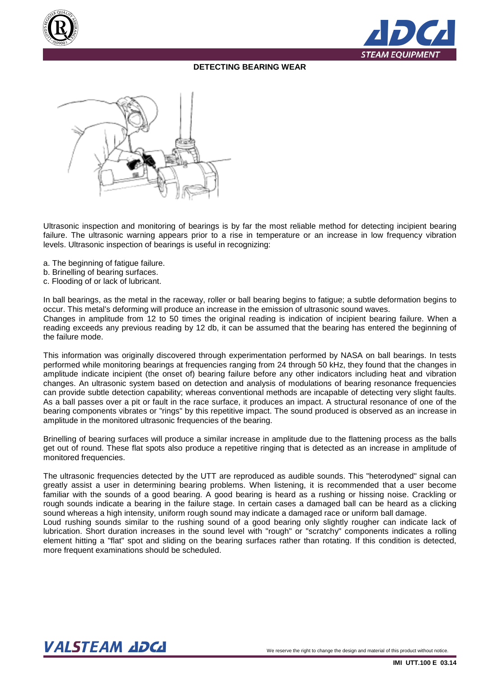



# **DETECTING BEARING WEAR**



Ultrasonic inspection and monitoring of bearings is by far the most reliable method for detecting incipient bearing failure. The ultrasonic warning appears prior to a rise in temperature or an increase in low frequency vibration levels. Ultrasonic inspection of bearings is useful in recognizing:

- a. The beginning of fatigue failure.
- b. Brinelling of bearing surfaces.
- c. Flooding of or lack of lubricant.

In ball bearings, as the metal in the raceway, roller or ball bearing begins to fatigue; a subtle deformation begins to occur. This metal's deforming will produce an increase in the emission of ultrasonic sound waves. Changes in amplitude from 12 to 50 times the original reading is indication of incipient bearing failure. When a reading exceeds any previous reading by 12 db, it can be assumed that the bearing has entered the beginning of the failure mode.

This information was originally discovered through experimentation performed by NASA on ball bearings. In tests performed while monitoring bearings at frequencies ranging from 24 through 50 kHz, they found that the changes in amplitude indicate incipient (the onset of) bearing failure before any other indicators including heat and vibration changes. An ultrasonic system based on detection and analysis of modulations of bearing resonance frequencies can provide subtle detection capability; whereas conventional methods are incapable of detecting very slight faults. As a ball passes over a pit or fault in the race surface, it produces an impact. A structural resonance of one of the bearing components vibrates or "rings" by this repetitive impact. The sound produced is observed as an increase in amplitude in the monitored ultrasonic frequencies of the bearing.

Brinelling of bearing surfaces will produce a similar increase in amplitude due to the flattening process as the balls get out of round. These flat spots also produce a repetitive ringing that is detected as an increase in amplitude of monitored frequencies.

The ultrasonic frequencies detected by the UTT are reproduced as audible sounds. This "heterodyned" signal can greatly assist a user in determining bearing problems. When listening, it is recommended that a user become familiar with the sounds of a good bearing. A good bearing is heard as a rushing or hissing noise. Crackling or rough sounds indicate a bearing in the failure stage. In certain cases a damaged ball can be heard as a clicking sound whereas a high intensity, uniform rough sound may indicate a damaged race or uniform ball damage. Loud rushing sounds similar to the rushing sound of a good bearing only slightly rougher can indicate lack of

lubrication. Short duration increases in the sound level with "rough" or "scratchy" components indicates a rolling element hitting a "flat" spot and sliding on the bearing surfaces rather than rotating. If this condition is detected, more frequent examinations should be scheduled.

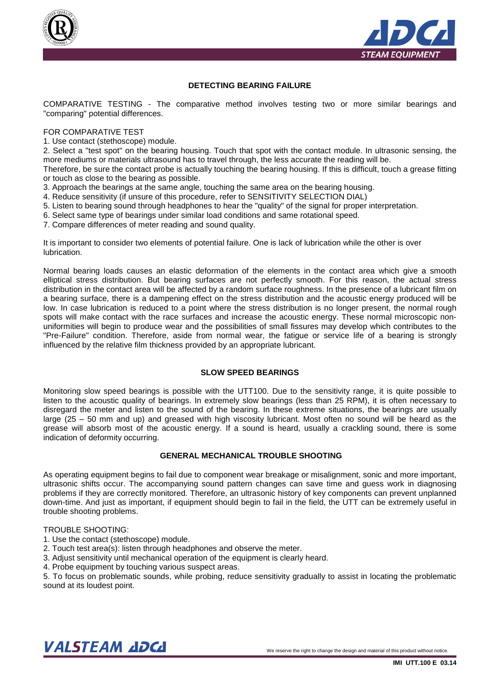



# **DETECTING BEARING FAILURE**

COMPARATIVE TESTING - The comparative method involves testing two or more similar bearings and "comparing" potential differences.

#### FOR COMPARATIVE TEST

1. Use contact (stethoscope) module.

2. Select a "test spot" on the bearing housing. Touch that spot with the contact module. In ultrasonic sensing, the more mediums or materials ultrasound has to travel through, the less accurate the reading will be.

Therefore, be sure the contact probe is actually touching the bearing housing. If this is difficult, touch a grease fitting or touch as close to the bearing as possible.

- 3. Approach the bearings at the same angle, touching the same area on the bearing housing.
- 4. Reduce sensitivity (if unsure of this procedure, refer to SENSITIVITY SELECTION DIAL)
- 5. Listen to bearing sound through headphones to hear the "quality" of the signal for proper interpretation.
- 6. Select same type of bearings under similar load conditions and same rotational speed.
- 7. Compare differences of meter reading and sound quality.

It is important to consider two elements of potential failure. One is lack of lubrication while the other is over lubrication.

Normal bearing loads causes an elastic deformation of the elements in the contact area which give a smooth elliptical stress distribution. But bearing surfaces are not perfectly smooth. For this reason, the actual stress distribution in the contact area will be affected by a random surface roughness. In the presence of a lubricant film on a bearing surface, there is a dampening effect on the stress distribution and the acoustic energy produced will be low. In case lubrication is reduced to a point where the stress distribution is no longer present, the normal rough spots will make contact with the race surfaces and increase the acoustic energy. These normal microscopic nonuniformities will begin to produce wear and the possibilities of small fissures may develop which contributes to the "Pre-Failure" condition. Therefore, aside from normal wear, the fatigue or service life of a bearing is strongly influenced by the relative film thickness provided by an appropriate lubricant.

#### **SLOW SPEED BEARINGS**

Monitoring slow speed bearings is possible with the UTT100. Due to the sensitivity range, it is quite possible to listen to the acoustic quality of bearings. In extremely slow bearings (less than 25 RPM), it is often necessary to disregard the meter and listen to the sound of the bearing. In these extreme situations, the bearings are usually large (25 – 50 mm and up) and greased with high viscosity lubricant. Most often no sound will be heard as the grease will absorb most of the acoustic energy. If a sound is heard, usually a crackling sound, there is some indication of deformity occurring.

### **GENERAL MECHANICAL TROUBLE SHOOTING**

As operating equipment begins to fail due to component wear breakage or misalignment, sonic and more important, ultrasonic shifts occur. The accompanying sound pattern changes can save time and guess work in diagnosing problems if they are correctly monitored. Therefore, an ultrasonic history of key components can prevent unplanned down-time. And just as important, if equipment should begin to fail in the field, the UTT can be extremely useful in trouble shooting problems.

#### TROUBLE SHOOTING:

- 1. Use the contact (stethoscope) module.
- 2. Touch test area(s): listen through headphones and observe the meter.
- 3. Adjust sensitivity until mechanical operation of the equipment is clearly heard.
- 4. Probe equipment by touching various suspect areas.

5. To focus on problematic sounds, while probing, reduce sensitivity gradually to assist in locating the problematic sound at its loudest point.

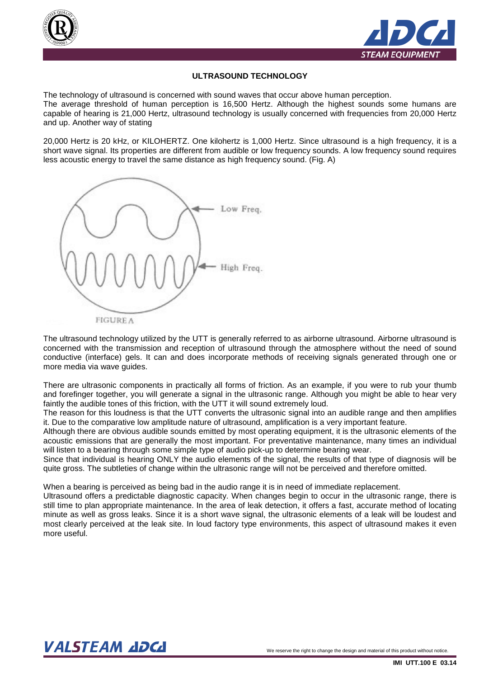



### **ULTRASOUND TECHNOLOGY**

The technology of ultrasound is concerned with sound waves that occur above human perception. The average threshold of human perception is 16,500 Hertz. Although the highest sounds some humans are capable of hearing is 21,000 Hertz, ultrasound technology is usually concerned with frequencies from 20,000 Hertz and up. Another way of stating

20,000 Hertz is 20 kHz, or KILOHERTZ. One kilohertz is 1,000 Hertz. Since ultrasound is a high frequency, it is a short wave signal. Its properties are different from audible or low frequency sounds. A low frequency sound requires less acoustic energy to travel the same distance as high frequency sound. (Fig. A)



The ultrasound technology utilized by the UTT is generally referred to as airborne ultrasound. Airborne ultrasound is concerned with the transmission and reception of ultrasound through the atmosphere without the need of sound conductive (interface) gels. It can and does incorporate methods of receiving signals generated through one or more media via wave guides.

There are ultrasonic components in practically all forms of friction. As an example, if you were to rub your thumb and forefinger together, you will generate a signal in the ultrasonic range. Although you might be able to hear very faintly the audible tones of this friction, with the UTT it will sound extremely loud.

The reason for this loudness is that the UTT converts the ultrasonic signal into an audible range and then amplifies it. Due to the comparative low amplitude nature of ultrasound, amplification is a very important feature.

Although there are obvious audible sounds emitted by most operating equipment, it is the ultrasonic elements of the acoustic emissions that are generally the most important. For preventative maintenance, many times an individual will listen to a bearing through some simple type of audio pick-up to determine bearing wear.

Since that individual is hearing ONLY the audio elements of the signal, the results of that type of diagnosis will be quite gross. The subtleties of change within the ultrasonic range will not be perceived and therefore omitted.

When a bearing is perceived as being bad in the audio range it is in need of immediate replacement.

Ultrasound offers a predictable diagnostic capacity. When changes begin to occur in the ultrasonic range, there is still time to plan appropriate maintenance. In the area of leak detection, it offers a fast, accurate method of locating minute as well as gross leaks. Since it is a short wave signal, the ultrasonic elements of a leak will be loudest and most clearly perceived at the leak site. In loud factory type environments, this aspect of ultrasound makes it even more useful.